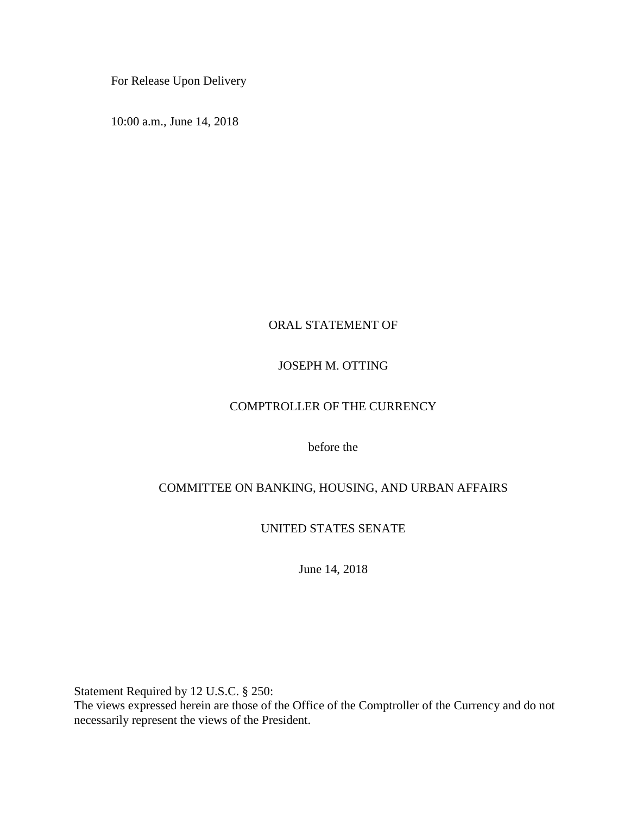For Release Upon Delivery

10:00 a.m., June 14, 2018

## ORAL STATEMENT OF

## JOSEPH M. OTTING

## COMPTROLLER OF THE CURRENCY

before the

## COMMITTEE ON BANKING, HOUSING, AND URBAN AFFAIRS

UNITED STATES SENATE

June 14, 2018

Statement Required by 12 U.S.C. § 250:

The views expressed herein are those of the Office of the Comptroller of the Currency and do not necessarily represent the views of the President.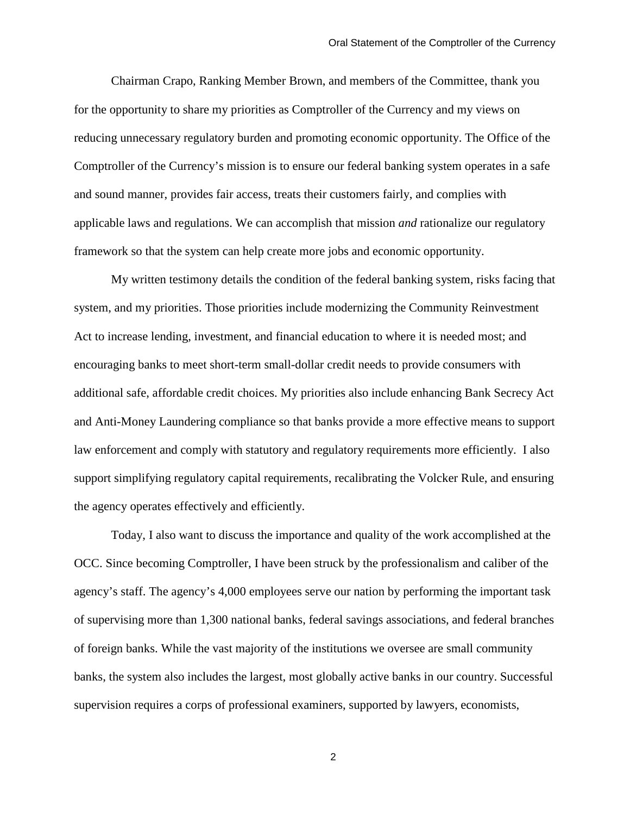Chairman Crapo, Ranking Member Brown, and members of the Committee, thank you for the opportunity to share my priorities as Comptroller of the Currency and my views on reducing unnecessary regulatory burden and promoting economic opportunity. The Office of the Comptroller of the Currency's mission is to ensure our federal banking system operates in a safe and sound manner, provides fair access, treats their customers fairly, and complies with applicable laws and regulations. We can accomplish that mission *and* rationalize our regulatory framework so that the system can help create more jobs and economic opportunity.

My written testimony details the condition of the federal banking system, risks facing that system, and my priorities. Those priorities include modernizing the Community Reinvestment Act to increase lending, investment, and financial education to where it is needed most; and encouraging banks to meet short-term small-dollar credit needs to provide consumers with additional safe, affordable credit choices. My priorities also include enhancing Bank Secrecy Act and Anti-Money Laundering compliance so that banks provide a more effective means to support law enforcement and comply with statutory and regulatory requirements more efficiently. I also support simplifying regulatory capital requirements, recalibrating the Volcker Rule, and ensuring the agency operates effectively and efficiently.

Today, I also want to discuss the importance and quality of the work accomplished at the OCC. Since becoming Comptroller, I have been struck by the professionalism and caliber of the agency's staff. The agency's 4,000 employees serve our nation by performing the important task of supervising more than 1,300 national banks, federal savings associations, and federal branches of foreign banks. While the vast majority of the institutions we oversee are small community banks, the system also includes the largest, most globally active banks in our country. Successful supervision requires a corps of professional examiners, supported by lawyers, economists,

2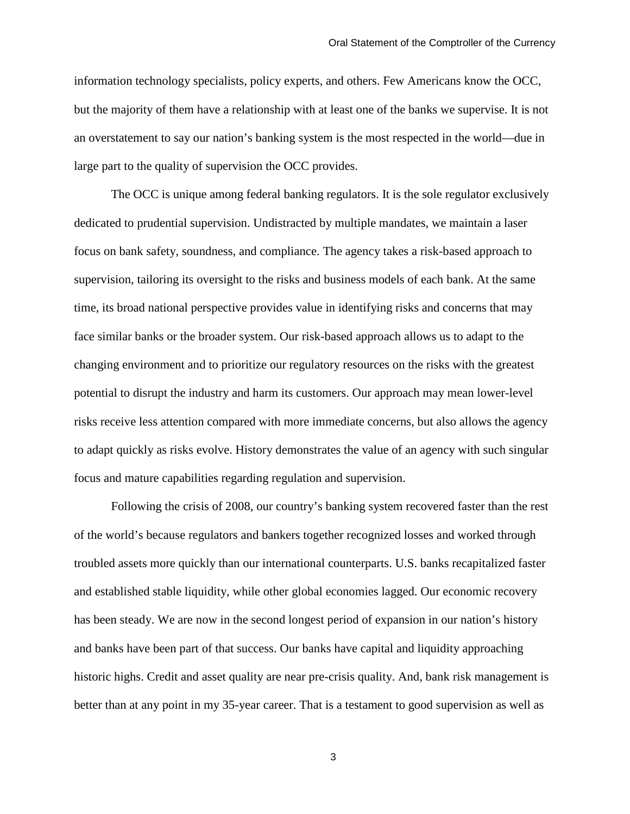information technology specialists, policy experts, and others. Few Americans know the OCC, but the majority of them have a relationship with at least one of the banks we supervise. It is not an overstatement to say our nation's banking system is the most respected in the world—due in large part to the quality of supervision the OCC provides.

The OCC is unique among federal banking regulators. It is the sole regulator exclusively dedicated to prudential supervision. Undistracted by multiple mandates, we maintain a laser focus on bank safety, soundness, and compliance. The agency takes a risk-based approach to supervision, tailoring its oversight to the risks and business models of each bank. At the same time, its broad national perspective provides value in identifying risks and concerns that may face similar banks or the broader system. Our risk-based approach allows us to adapt to the changing environment and to prioritize our regulatory resources on the risks with the greatest potential to disrupt the industry and harm its customers. Our approach may mean lower-level risks receive less attention compared with more immediate concerns, but also allows the agency to adapt quickly as risks evolve. History demonstrates the value of an agency with such singular focus and mature capabilities regarding regulation and supervision.

Following the crisis of 2008, our country's banking system recovered faster than the rest of the world's because regulators and bankers together recognized losses and worked through troubled assets more quickly than our international counterparts. U.S. banks recapitalized faster and established stable liquidity, while other global economies lagged. Our economic recovery has been steady. We are now in the second longest period of expansion in our nation's history and banks have been part of that success. Our banks have capital and liquidity approaching historic highs. Credit and asset quality are near pre-crisis quality. And, bank risk management is better than at any point in my 35-year career. That is a testament to good supervision as well as

3